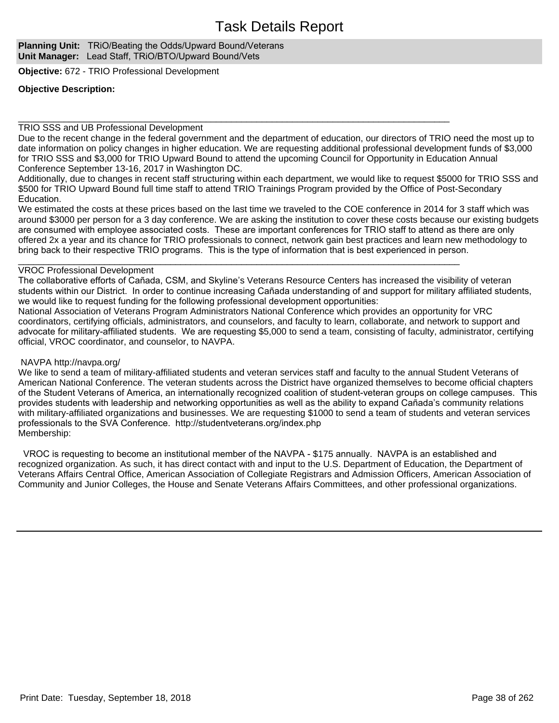**Planning Unit:** TRiO/Beating the Odds/Upward Bound/Veterans **Unit Manager:** Lead Staff, TRiO/BTO/Upward Bound/Vets

**Objective:** 672 - TRIO Professional Development

**Objective Description:** 

#### $\_$  , and the set of the set of the set of the set of the set of the set of the set of the set of the set of the set of the set of the set of the set of the set of the set of the set of the set of the set of the set of th TRIO SSS and UB Professional Development

Due to the recent change in the federal government and the department of education, our directors of TRIO need the most up to date information on policy changes in higher education. We are requesting additional professional development funds of \$3,000 for TRIO SSS and \$3,000 for TRIO Upward Bound to attend the upcoming Council for Opportunity in Education Annual Conference September 13-16, 2017 in Washington DC.

Additionally, due to changes in recent staff structuring within each department, we would like to request \$5000 for TRIO SSS and \$500 for TRIO Upward Bound full time staff to attend TRIO Trainings Program provided by the Office of Post-Secondary Education.

We estimated the costs at these prices based on the last time we traveled to the COE conference in 2014 for 3 staff which was around \$3000 per person for a 3 day conference. We are asking the institution to cover these costs because our existing budgets are consumed with employee associated costs. These are important conferences for TRIO staff to attend as there are only offered 2x a year and its chance for TRIO professionals to connect, network gain best practices and learn new methodology to bring back to their respective TRIO programs. This is the type of information that is best experienced in person.

### VROC Professional Development

The collaborative efforts of Cañada, CSM, and Skyline's Veterans Resource Centers has increased the visibility of veteran students within our District. In order to continue increasing Cañada understanding of and support for military affiliated students, we would like to request funding for the following professional development opportunities:

\_\_\_\_\_\_\_\_\_\_\_\_\_\_\_\_\_\_\_\_\_\_\_\_\_\_\_\_\_\_\_\_\_\_\_\_\_\_\_\_\_\_\_\_\_\_\_\_\_\_\_\_\_\_\_\_\_\_\_\_\_\_\_\_\_\_\_\_\_\_\_\_\_\_\_\_\_\_\_\_\_\_\_\_\_\_\_

National Association of Veterans Program Administrators National Conference which provides an opportunity for VRC coordinators, certifying officials, administrators, and counselors, and faculty to learn, collaborate, and network to support and advocate for military-affiliated students. We are requesting \$5,000 to send a team, consisting of faculty, administrator, certifying official, VROC coordinator, and counselor, to NAVPA.

### NAVPA http://navpa.org/

We like to send a team of military-affiliated students and veteran services staff and faculty to the annual Student Veterans of American National Conference. The veteran students across the District have organized themselves to become official chapters of the Student Veterans of America, an internationally recognized coalition of student-veteran groups on college campuses. This provides students with leadership and networking opportunities as well as the ability to expand Cañada's community relations with military-affiliated organizations and businesses. We are requesting \$1000 to send a team of students and veteran services professionals to the SVA Conference. http://studentveterans.org/index.php Membership:

VROC is requesting to become an institutional member of the NAVPA - \$175 annually. NAVPA is an established and recognized organization. As such, it has direct contact with and input to the U.S. Department of Education, the Department of Veterans Affairs Central Office, American Association of Collegiate Registrars and Admission Officers, American Association of Community and Junior Colleges, the House and Senate Veterans Affairs Committees, and other professional organizations.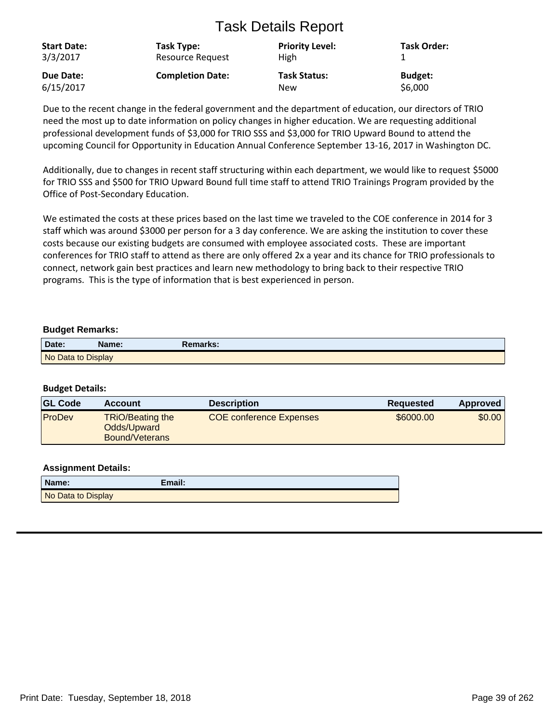| <b>Start Date:</b> | Task Type:              | <b>Priority Level:</b> | <b>Task Order:</b> |
|--------------------|-------------------------|------------------------|--------------------|
| 3/3/2017           | Resource Request        | High                   |                    |
| Due Date:          | <b>Completion Date:</b> | <b>Task Status:</b>    | <b>Budget:</b>     |
| 6/15/2017          |                         | <b>New</b>             | \$6,000            |

Due to the recent change in the federal government and the department of education, our directors of TRIO need the most up to date information on policy changes in higher education. We are requesting additional professional development funds of \$3,000 for TRIO SSS and \$3,000 for TRIO Upward Bound to attend the upcoming Council for Opportunity in Education Annual Conference September 13-16, 2017 in Washington DC.

Additionally, due to changes in recent staff structuring within each department, we would like to request \$5000 for TRIO SSS and \$500 for TRIO Upward Bound full time staff to attend TRIO Trainings Program provided by the Office of Post-Secondary Education.

We estimated the costs at these prices based on the last time we traveled to the COE conference in 2014 for 3 staff which was around \$3000 per person for a 3 day conference. We are asking the institution to cover these costs because our existing budgets are consumed with employee associated costs. These are important conferences for TRIO staff to attend as there are only offered 2x a year and its chance for TRIO professionals to connect, network gain best practices and learn new methodology to bring back to their respective TRIO programs. This is the type of information that is best experienced in person.

### **Budget Remarks:**

| Date:              | <b>Name:</b> | <b>Remarks:</b> |
|--------------------|--------------|-----------------|
| No Data to Display |              |                 |

### **Budget Details:**

| <b>GL Code</b> | <b>Account</b>                                           | <b>Description</b>             | <b>Requested</b> | Approved |
|----------------|----------------------------------------------------------|--------------------------------|------------------|----------|
| ProDev         | <b>TRiO/Beating the</b><br>Odds/Upward<br>Bound/Veterans | <b>COE conference Expenses</b> | \$6000.00        | \$0.00   |

| Name:              | Email: |
|--------------------|--------|
| No Data to Display |        |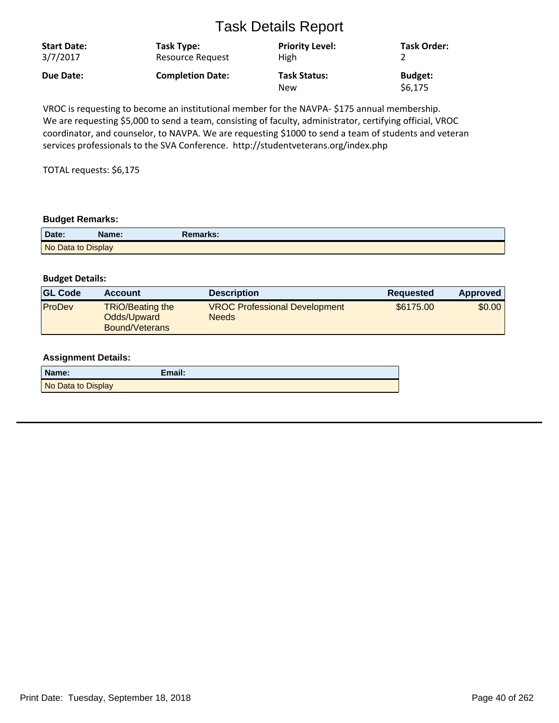| <b>Start Date:</b><br>3/7/2017 | Task Type:<br>Resource Request | <b>Priority Level:</b><br><b>High</b> | <b>Task Order:</b> |
|--------------------------------|--------------------------------|---------------------------------------|--------------------|
| Due Date:                      | <b>Completion Date:</b>        | <b>Task Status:</b>                   | <b>Budget:</b>     |
|                                |                                | <b>New</b>                            | \$6,175            |

VROC is requesting to become an institutional member for the NAVPA- \$175 annual membership. We are requesting \$5,000 to send a team, consisting of faculty, administrator, certifying official, VROC coordinator, and counselor, to NAVPA. We are requesting \$1000 to send a team of students and veteran services professionals to the SVA Conference. http://studentveterans.org/index.php

TOTAL requests: \$6,175

### **Budget Remarks:**

| Date:              | Name: | Remarks: |
|--------------------|-------|----------|
| No Data to Display |       |          |

### **Budget Details:**

| <b>GL Code</b> | <b>Account</b>                                           | <b>Description</b>                            | Requested | <b>Approved</b> |
|----------------|----------------------------------------------------------|-----------------------------------------------|-----------|-----------------|
| ProDev         | <b>TRiO/Beating the</b><br>Odds/Upward<br>Bound/Veterans | <b>VROC Professional Development</b><br>Needs | \$6175.00 | \$0.00          |

| Name:              | Email: |
|--------------------|--------|
| No Data to Display |        |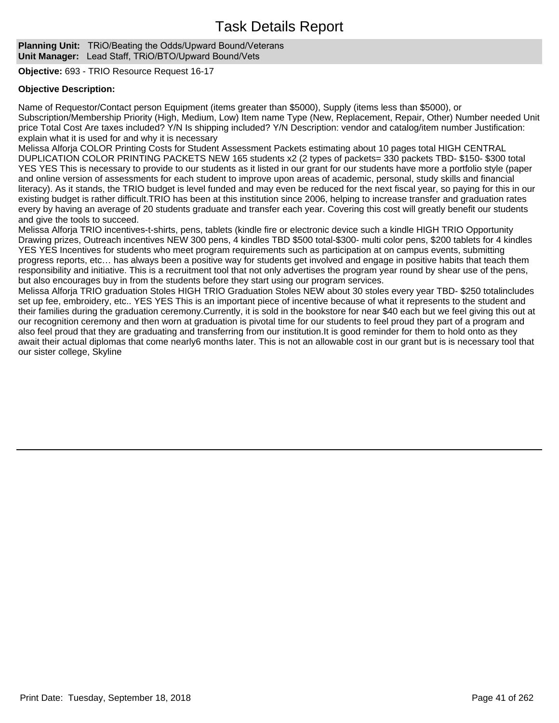**Planning Unit:** TRiO/Beating the Odds/Upward Bound/Veterans **Unit Manager:** Lead Staff, TRiO/BTO/Upward Bound/Vets

**Objective:** 693 - TRIO Resource Request 16-17

### **Objective Description:**

Name of Requestor/Contact person Equipment (items greater than \$5000), Supply (items less than \$5000), or Subscription/Membership Priority (High, Medium, Low) Item name Type (New, Replacement, Repair, Other) Number needed Unit price Total Cost Are taxes included? Y/N Is shipping included? Y/N Description: vendor and catalog/item number Justification: explain what it is used for and why it is necessary

Melissa Alforja COLOR Printing Costs for Student Assessment Packets estimating about 10 pages total HIGH CENTRAL DUPLICATION COLOR PRINTING PACKETS NEW 165 students x2 (2 types of packets= 330 packets TBD- \$150- \$300 total YES YES This is necessary to provide to our students as it listed in our grant for our students have more a portfolio style (paper and online version of assessments for each student to improve upon areas of academic, personal, study skills and financial literacy). As it stands, the TRIO budget is level funded and may even be reduced for the next fiscal year, so paying for this in our existing budget is rather difficult.TRIO has been at this institution since 2006, helping to increase transfer and graduation rates every by having an average of 20 students graduate and transfer each year. Covering this cost will greatly benefit our students and give the tools to succeed.

Melissa Alforja TRIO incentives-t-shirts, pens, tablets (kindle fire or electronic device such a kindle HIGH TRIO Opportunity Drawing prizes, Outreach incentives NEW 300 pens, 4 kindles TBD \$500 total-\$300- multi color pens, \$200 tablets for 4 kindles YES YES Incentives for students who meet program requirements such as participation at on campus events, submitting progress reports, etc... has always been a positive way for students get involved and engage in positive habits that teach them responsibility and initiative. This is a recruitment tool that not only advertises the program year round by shear use of the pens, but also encourages buy in from the students before they start using our program services.

Melissa Alforja TRIO graduation Stoles HIGH TRIO Graduation Stoles NEW about 30 stoles every year TBD- \$250 totalincludes set up fee, embroidery, etc.. YES YES This is an important piece of incentive because of what it represents to the student and their families during the graduation ceremony.Currently, it is sold in the bookstore for near \$40 each but we feel giving this out at our recognition ceremony and then worn at graduation is pivotal time for our students to feel proud they part of a program and also feel proud that they are graduating and transferring from our institution.It is good reminder for them to hold onto as they await their actual diplomas that come nearly6 months later. This is not an allowable cost in our grant but is is necessary tool that our sister college, Skyline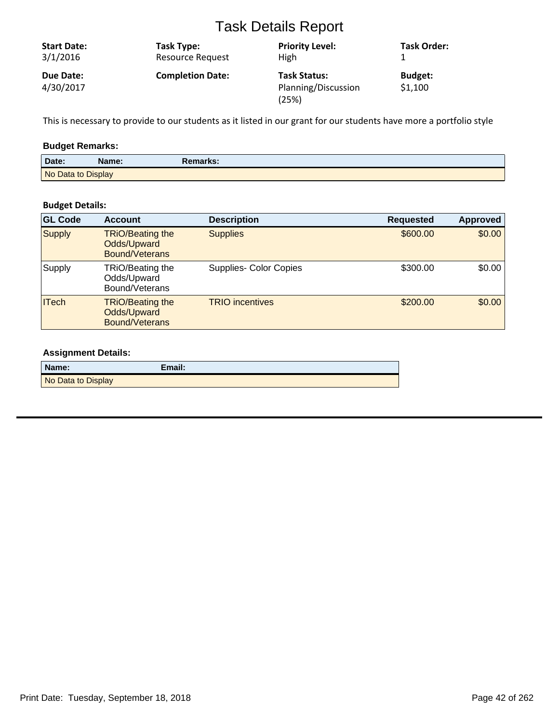| <b>Start Date:</b>     | Task Type:              | <b>Priority Level:</b>                              | <b>Task Order:</b>        |
|------------------------|-------------------------|-----------------------------------------------------|---------------------------|
| 3/1/2016               | <b>Resource Request</b> | High                                                |                           |
| Due Date:<br>4/30/2017 | <b>Completion Date:</b> | <b>Task Status:</b><br>Planning/Discussion<br>(25%) | <b>Budget:</b><br>\$1,100 |

This is necessary to provide to our students as it listed in our grant for our students have more a portfolio style

### **Budget Remarks:**

| Date:              | Name: | Remarks: |
|--------------------|-------|----------|
| No Data to Display |       |          |

### **Budget Details:**

| <b>GL Code</b> | <b>Account</b>                                           | <b>Description</b>     | <b>Requested</b> | <b>Approved</b> |
|----------------|----------------------------------------------------------|------------------------|------------------|-----------------|
| <b>Supply</b>  | <b>TRiO/Beating the</b><br>Odds/Upward<br>Bound/Veterans | <b>Supplies</b>        | \$600.00         | \$0.00          |
| Supply         | TRiO/Beating the<br>Odds/Upward<br>Bound/Veterans        | Supplies- Color Copies | \$300.00         | \$0.00          |
| <b>ITech</b>   | <b>TRiO/Beating the</b><br>Odds/Upward<br>Bound/Veterans | <b>TRIO</b> incentives | \$200.00         | \$0.00          |

| Name:              | Email: |
|--------------------|--------|
| No Data to Display |        |